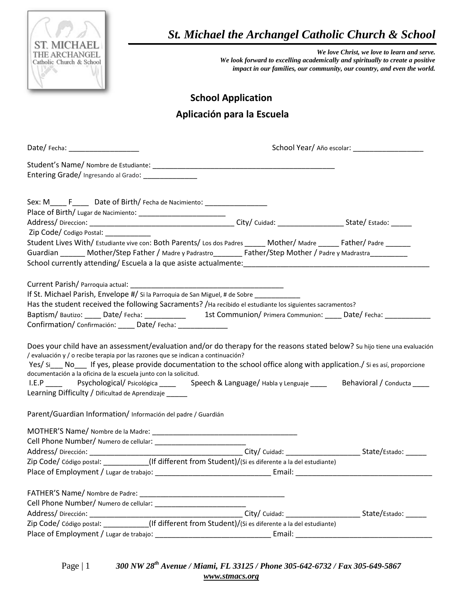

 *St. Michael the Archangel Catholic Church & School*

*We love Christ, we love to learn and serve. We look forward to excelling academically and spiritually to create a positive impact in our families, our community, our country, and even the world.*

## **School Application Aplicación para la Escuela**

| Date/Fecha: ___________________                                                                                                                                                                                                                                                                                                                                                                                                                                                                                                                                                     |  |
|-------------------------------------------------------------------------------------------------------------------------------------------------------------------------------------------------------------------------------------------------------------------------------------------------------------------------------------------------------------------------------------------------------------------------------------------------------------------------------------------------------------------------------------------------------------------------------------|--|
| Entering Grade/ Ingresando al Grado: ______________                                                                                                                                                                                                                                                                                                                                                                                                                                                                                                                                 |  |
| Sex: M_________________Date of Birth/Fecha de Nacimiento: ______________________                                                                                                                                                                                                                                                                                                                                                                                                                                                                                                    |  |
| Zip Code/ Codigo Postal:<br>Student Lives With/ Estudiante vive con: Both Parents/ Los dos Padres ______ Mother/ Madre ______ Father/ Padre ______<br>Guardian _______ Mother/Step Father / Madre y Padrastro________ Father/Step Mother / Padre y Madrastra________                                                                                                                                                                                                                                                                                                                |  |
| If St. Michael Parish, Envelope #/ Si la Parroquia de San Miguel, # de Sobre<br>Has the student received the following Sacraments? / Ha recibido el estudiante los siguientes sacramentos?<br>Baptism/Bautizo: _____ Date/Fecha: ____________ 1st Communion/Primera Communion: _____ Date/Fecha: ___________<br>Confirmation/ Confirmación: _____ Date/ Fecha: ______________                                                                                                                                                                                                       |  |
| Does your child have an assessment/evaluation and/or do therapy for the reasons stated below? Su hijo tiene una evaluación<br>/ evaluación y / o recibe terapia por las razones que se indican a continuación?<br>Yes/ Si___ No___ If yes, please provide documentation to the school office along with application./ Si es así, proporcione<br>documentación a la oficina de la escuela junto con la solicitud.<br>I.E.P ____ Psychological/Psicológica ____ Speech & Language/Habla y Lenguaje ____ Behavioral / Conducta ____<br>Learning Difficulty / Dificultad de Aprendizaje |  |
| Parent/Guardian Information/ Información del padre / Guardián                                                                                                                                                                                                                                                                                                                                                                                                                                                                                                                       |  |
| Zip Code/ Código postal: ___________(If different from Student)/(Si es diferente a la del estudiante)                                                                                                                                                                                                                                                                                                                                                                                                                                                                               |  |
|                                                                                                                                                                                                                                                                                                                                                                                                                                                                                                                                                                                     |  |